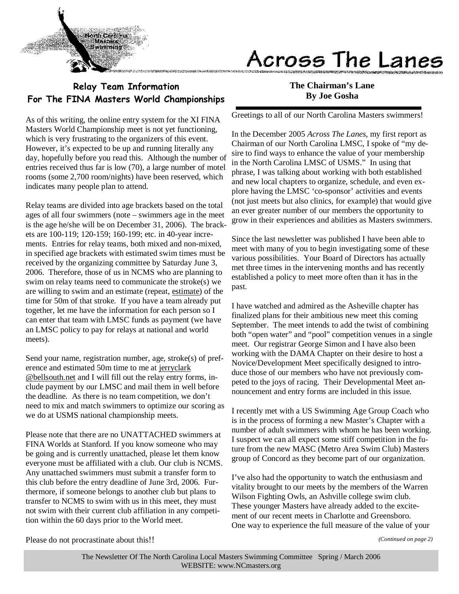

# Across The Lanes

### Relay Team Information For The FINA Masters World Championships

As of this writing, the online entry system for the XI FINA Masters World Championship meet is not yet functioning, which is very frustrating to the organizers of this event. However, it's expected to be up and running literally any day, hopefully before you read this. Although the number of entries received thus far is low (70), a large number of motel rooms (some 2,700 room/nights) have been reserved, which indicates many people plan to attend.

Relay teams are divided into age brackets based on the total ages of all four swimmers (note – swimmers age in the meet is the age he/she will be on December 31, 2006). The brackets are 100-119; 120-159; 160-199; etc. in 40-year increments. Entries for relay teams, both mixed and non-mixed, in specified age brackets with estimated swim times must be received by the organizing committee by Saturday June 3, 2006. Therefore, those of us in NCMS who are planning to swim on relay teams need to communicate the stroke(s) we are willing to swim and an estimate (repeat, estimate) of the time for 50m of that stroke. If you have a team already put together, let me have the information for each person so I can enter that team with LMSC funds as payment (we have an LMSC policy to pay for relays at national and world meets).

Send your name, registration number, age, stroke(s) of preference and estimated 50m time to me at jerryclark @bellsouth.net and I will fill out the relay entry forms, include payment by our LMSC and mail them in well before the deadline. As there is no team competition, we don't need to mix and match swimmers to optimize our scoring as we do at USMS national championship meets.

Please note that there are no UNATTACHED swimmers at FINA Worlds at Stanford. If you know someone who may be going and is currently unattached, please let them know everyone must be affiliated with a club. Our club is NCMS. Any unattached swimmers must submit a transfer form to this club before the entry deadline of June 3rd, 2006. Furthermore, if someone belongs to another club but plans to transfer to NCMS to swim with us in this meet, they must not swim with their current club affiliation in any competition within the 60 days prior to the World meet.

**The Chairman's Lane By Joe Gosha** 

Greetings to all of our North Carolina Masters swimmers!

In the December 2005 *Across The Lanes,* my first report as Chairman of our North Carolina LMSC, I spoke of "my desire to find ways to enhance the value of your membership in the North Carolina LMSC of USMS." In using that phrase, I was talking about working with both established and new local chapters to organize, schedule, and even explore having the LMSC 'co-sponsor' activities and events (not just meets but also clinics, for example) that would give an ever greater number of our members the opportunity to grow in their experiences and abilities as Masters swimmers.

Since the last newsletter was published I have been able to meet with many of you to begin investigating some of these various possibilities. Your Board of Directors has actually met three times in the intervening months and has recently established a policy to meet more often than it has in the past.

I have watched and admired as the Asheville chapter has finalized plans for their ambitious new meet this coming September. The meet intends to add the twist of combining both "open water" and "pool" competition venues in a single meet. Our registrar George Simon and I have also been working with the DAMA Chapter on their desire to host a Novice/Development Meet specifically designed to introduce those of our members who have not previously competed to the joys of racing. Their Developmental Meet announcement and entry forms are included in this issue.

I recently met with a US Swimming Age Group Coach who is in the process of forming a new Master's Chapter with a number of adult swimmers with whom he has been working. I suspect we can all expect some stiff competition in the future from the new MASC (Metro Area Swim Club) Masters group of Concord as they become part of our organization.

I've also had the opportunity to watch the enthusiasm and vitality brought to our meets by the members of the Warren Wilson Fighting Owls, an Ashville college swim club. These younger Masters have already added to the excitement of our recent meets in Charlotte and Greensboro. One way to experience the full measure of the value of your

Please do not procrastinate about this!!

*(Continued on page 2)*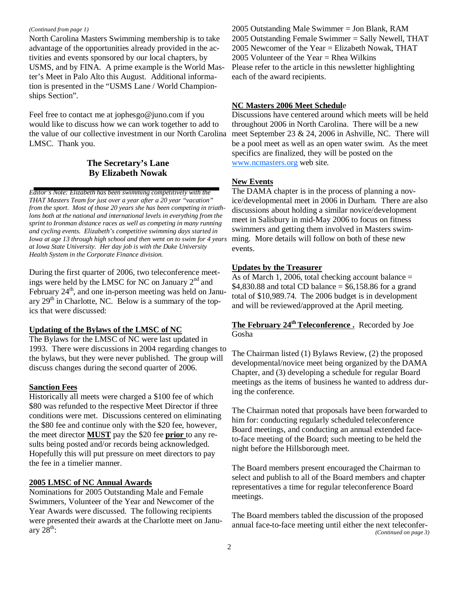#### *(Continued from page 1)*

North Carolina Masters Swimming membership is to take advantage of the opportunities already provided in the activities and events sponsored by our local chapters, by USMS, and by FINA. A prime example is the World Master's Meet in Palo Alto this August. Additional information is presented in the "USMS Lane / World Championships Section".

Feel free to contact me at jophesgo@juno.com if you would like to discuss how we can work together to add to the value of our collective investment in our North Carolina LMSC. Thank you.

#### **The Secretary's Lane By Elizabeth Nowak**

*Editor's Note: Elizabeth has been swimming competitively with the THAT Masters Team for just over a year after a 20 year "vacation" from the sport. Most of those 20 years she has been competing in triathlons both at the national and international levels in everything from the sprint to Ironman distance races as well as competing in many running and cycling events. Elizabeth's competitive swimming days started in Iowa at age 13 through high school and then went on to swim for 4 years at Iowa State University. Her day job is with the Duke University Health System in the Corporate Finance division.* 

During the first quarter of 2006, two teleconference meetings were held by the LMSC for NC on January 2nd and February 24<sup>th</sup>, and one in-person meeting was held on January  $29<sup>th</sup>$  in Charlotte, NC. Below is a summary of the topics that were discussed:

#### **Updating of the Bylaws of the LMSC of NC**

The Bylaws for the LMSC of NC were last updated in 1993. There were discussions in 2004 regarding changes to the bylaws, but they were never published. The group will discuss changes during the second quarter of 2006.

#### **Sanction Fees**

Historically all meets were charged a \$100 fee of which \$80 was refunded to the respective Meet Director if three conditions were met. Discussions centered on eliminating the \$80 fee and continue only with the \$20 fee, however, the meet director **MUST** pay the \$20 fee **prior** to any results being posted and/or records being acknowledged. Hopefully this will put pressure on meet directors to pay the fee in a timelier manner.

#### **2005 LMSC of NC Annual Awards**

Nominations for 2005 Outstanding Male and Female Swimmers, Volunteer of the Year and Newcomer of the Year Awards were discussed. The following recipients were presented their awards at the Charlotte meet on January  $28<sup>th</sup>$ :

2005 Outstanding Male Swimmer = Jon Blank, RAM 2005 Outstanding Female Swimmer = Sally Newell, THAT 2005 Newcomer of the Year = Elizabeth Nowak, THAT 2005 Volunteer of the Year = Rhea Wilkins Please refer to the article in this newsletter highlighting each of the award recipients.

#### **NC Masters 2006 Meet Schedul**e

Discussions have centered around which meets will be held throughout 2006 in North Carolina. There will be a new meet September 23 & 24, 2006 in Ashville, NC. There will be a pool meet as well as an open water swim. As the meet specifics are finalized, they will be posted on the www.ncmasters.org web site.

#### **New Events**

The DAMA chapter is in the process of planning a novice/developmental meet in 2006 in Durham. There are also discussions about holding a similar novice/development meet in Salisbury in mid-May 2006 to focus on fitness swimmers and getting them involved in Masters swimming. More details will follow on both of these new events.

#### **Updates by the Treasurer**

As of March 1, 2006, total checking account balance  $=$  $$4,830.88$  and total CD balance =  $$6,158.86$  for a grand total of \$10,989.74. The 2006 budget is in development and will be reviewed/approved at the April meeting.

#### **The February 24th Teleconference .** Recorded by Joe Gosha

The Chairman listed (1) Bylaws Review, (2) the proposed developmental/novice meet being organized by the DAMA Chapter, and (3) developing a schedule for regular Board meetings as the items of business he wanted to address during the conference.

The Chairman noted that proposals have been forwarded to him for: conducting regularly scheduled teleconference Board meetings, and conducting an annual extended faceto-face meeting of the Board; such meeting to be held the night before the Hillsborough meet.

The Board members present encouraged the Chairman to select and publish to all of the Board members and chapter representatives a time for regular teleconference Board meetings.

The Board members tabled the discussion of the proposed annual face-to-face meeting until either the next teleconfer- *(Continued on page 3)*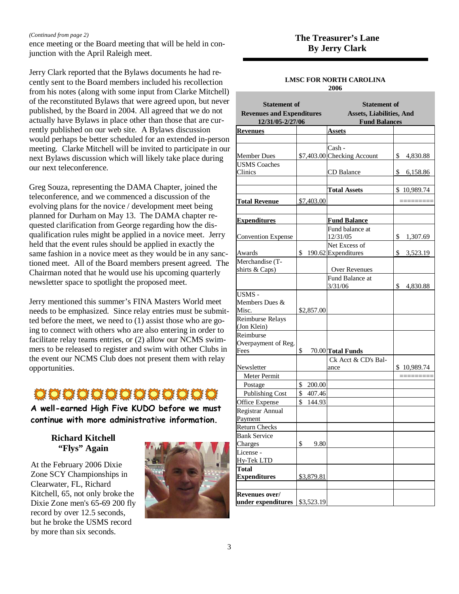ence meeting or the Board meeting that will be held in con-*(Continued from page 2)* **The Treasurer's Lane**  junction with the April Raleigh meet.

Jerry Clark reported that the Bylaws documents he had recently sent to the Board members included his recollection from his notes (along with some input from Clarke Mitchell) of the reconstituted Bylaws that were agreed upon, but never published, by the Board in 2004. All agreed that we do not actually have Bylaws in place other than those that are currently published on our web site. A Bylaws discussion would perhaps be better scheduled for an extended in-person meeting. Clarke Mitchell will be invited to participate in our next Bylaws discussion which will likely take place during our next teleconference.

Greg Souza, representing the DAMA Chapter, joined the teleconference, and we commenced a discussion of the evolving plans for the novice / development meet being planned for Durham on May 13. The DAMA chapter requested clarification from George regarding how the disqualification rules might be applied in a novice meet. Jerry held that the event rules should be applied in exactly the same fashion in a novice meet as they would be in any sanctioned meet. All of the Board members present agreed. The Chairman noted that he would use his upcoming quarterly newsletter space to spotlight the proposed meet.

Jerry mentioned this summer's FINA Masters World meet needs to be emphasized. Since relay entries must be submitted before the meet, we need to (1) assist those who are going to connect with others who are also entering in order to facilitate relay teams entries, or (2) allow our NCMS swimmers to be released to register and swim with other Clubs in the event our NCMS Club does not present them with relay opportunities.

### 0000000000000

A well-earned High Five KUDO before we must continue with more administrative information.

> **Richard Kitchell "Flys" Again**

At the February 2006 Dixie Zone SCY Championships in Clearwater, FL, Richard Kitchell, 65, not only broke the Dixie Zone men's 65-69 200 fly record by over 12.5 seconds, but he broke the USMS record by more than six seconds.



#### **LMSC FOR NORTH CAROLINA**

**2006** 

| <b>Statement of</b><br><b>Revenues and Expenditures</b><br>12/31/05-2/27/06 |              | <b>Statement of</b><br><b>Assets, Liabilities, And</b><br><b>Fund Balances</b> |                |  |  |
|-----------------------------------------------------------------------------|--------------|--------------------------------------------------------------------------------|----------------|--|--|
| <b>Revenues</b>                                                             |              | <b>Assets</b>                                                                  |                |  |  |
|                                                                             |              |                                                                                |                |  |  |
| <b>Member Dues</b>                                                          |              | Cash -<br>\$7,403.00 Checking Account                                          | \$<br>4,830.88 |  |  |
| <b>USMS Coaches</b><br>Clinics                                              |              | CD Balance                                                                     | \$<br>6,158.86 |  |  |
|                                                                             |              | <b>Total Assets</b>                                                            | \$10,989.74    |  |  |
| <b>Total Revenue</b>                                                        | \$7,403.00   |                                                                                |                |  |  |
| <b>Expenditures</b>                                                         |              | <b>Fund Balance</b>                                                            |                |  |  |
|                                                                             |              | Fund balance at                                                                |                |  |  |
| <b>Convention Expense</b>                                                   |              | 12/31/05                                                                       | \$<br>1,307.69 |  |  |
|                                                                             |              | Net Excess of                                                                  |                |  |  |
| Awards                                                                      | \$           | 190.62 Expenditures                                                            | \$<br>3,523.19 |  |  |
| Merchandise (T-                                                             |              |                                                                                |                |  |  |
| shirts & Caps)                                                              |              | Over Revenues                                                                  |                |  |  |
|                                                                             |              | Fund Balance at<br>3/31/06                                                     | \$<br>4,830.88 |  |  |
| <b>USMS-</b><br>Members Dues &<br>Misc.                                     | \$2,857.00   |                                                                                |                |  |  |
| Reimburse Relays<br>(Jon Klein)                                             |              |                                                                                |                |  |  |
| Reimburse<br>Overpayment of Reg.<br>Fees                                    | \$           | 70.00 Total Funds                                                              |                |  |  |
| Newsletter                                                                  |              | Ck Acct & CD's Bal-<br>ance                                                    | \$10,989.74    |  |  |
| <b>Meter Permit</b>                                                         |              |                                                                                |                |  |  |
| Postage                                                                     | \$<br>200.00 |                                                                                |                |  |  |
| <b>Publishing Cost</b>                                                      | \$<br>407.46 |                                                                                |                |  |  |
| Office Expense                                                              | \$<br>144.93 |                                                                                |                |  |  |
| Registrar Annual<br>Payment                                                 |              |                                                                                |                |  |  |
| <b>Return Checks</b>                                                        |              |                                                                                |                |  |  |
| <b>Bank Service</b>                                                         |              |                                                                                |                |  |  |
| Charges                                                                     | \$<br>9.80   |                                                                                |                |  |  |
| License -<br>Hy-Tek LTD                                                     |              |                                                                                |                |  |  |
| <b>Total</b><br><b>Expenditures</b>                                         | \$3,879.81   |                                                                                |                |  |  |
|                                                                             |              |                                                                                |                |  |  |
| Revenues over/<br>under expenditures                                        | \$3,523.19   |                                                                                |                |  |  |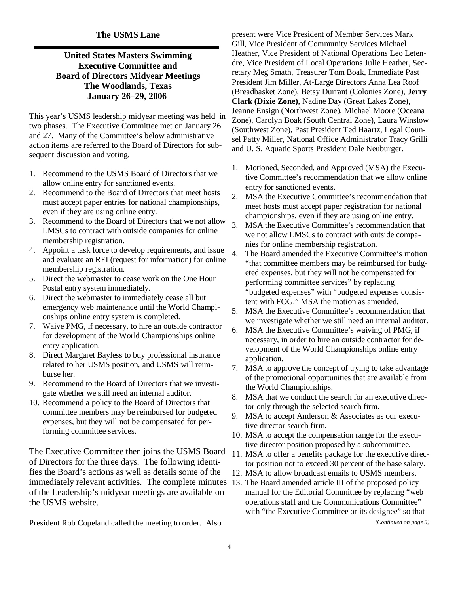#### **The USMS Lane**

#### **United States Masters Swimming Executive Committee and Board of Directors Midyear Meetings The Woodlands, Texas January 26–29, 2006**

This year's USMS leadership midyear meeting was held in two phases. The Executive Committee met on January 26 and 27. Many of the Committee's below administrative action items are referred to the Board of Directors for subsequent discussion and voting.

- 1. Recommend to the USMS Board of Directors that we allow online entry for sanctioned events.
- 2. Recommend to the Board of Directors that meet hosts must accept paper entries for national championships, even if they are using online entry.
- 3. Recommend to the Board of Directors that we not allow LMSCs to contract with outside companies for online membership registration.
- 4. Appoint a task force to develop requirements, and issue and evaluate an RFI (request for information) for online membership registration.
- 5. Direct the webmaster to cease work on the One Hour Postal entry system immediately.
- 6. Direct the webmaster to immediately cease all but emergency web maintenance until the World Championships online entry system is completed.
- 7. Waive PMG, if necessary, to hire an outside contractor for development of the World Championships online entry application.
- 8. Direct Margaret Bayless to buy professional insurance related to her USMS position, and USMS will reimburse her.
- 9. Recommend to the Board of Directors that we investigate whether we still need an internal auditor.
- 10. Recommend a policy to the Board of Directors that committee members may be reimbursed for budgeted expenses, but they will not be compensated for performing committee services.

The Executive Committee then joins the USMS Board of Directors for the three days. The following identifies the Board's actions as well as details some of the immediately relevant activities. The complete minutes of the Leadership's midyear meetings are available on the USMS website.

President Rob Copeland called the meeting to order. Also

present were Vice President of Member Services Mark Gill, Vice President of Community Services Michael Heather, Vice President of National Operations Leo Letendre, Vice President of Local Operations Julie Heather, Secretary Meg Smath, Treasurer Tom Boak, Immediate Past President Jim Miller, At-Large Directors Anna Lea Roof (Breadbasket Zone), Betsy Durrant (Colonies Zone), **Jerry Clark (Dixie Zone),** Nadine Day (Great Lakes Zone), Jeanne Ensign (Northwest Zone), Michael Moore (Oceana Zone), Carolyn Boak (South Central Zone), Laura Winslow (Southwest Zone), Past President Ted Haartz, Legal Counsel Patty Miller, National Office Administrator Tracy Grilli and U. S. Aquatic Sports President Dale Neuburger.

- 1. Motioned, Seconded, and Approved (MSA) the Executive Committee's recommendation that we allow online entry for sanctioned events.
- 2. MSA the Executive Committee's recommendation that meet hosts must accept paper registration for national championships, even if they are using online entry.
- 3. MSA the Executive Committee's recommendation that we not allow LMSCs to contract with outside companies for online membership registration.
- 4. The Board amended the Executive Committee's motion "that committee members may be reimbursed for budgeted expenses, but they will not be compensated for performing committee services" by replacing "budgeted expenses" with "budgeted expenses consistent with FOG." MSA the motion as amended.
- 5. MSA the Executive Committee's recommendation that we investigate whether we still need an internal auditor.
- 6. MSA the Executive Committee's waiving of PMG, if necessary, in order to hire an outside contractor for development of the World Championships online entry application.
- 7. MSA to approve the concept of trying to take advantage of the promotional opportunities that are available from the World Championships.
- 8. MSA that we conduct the search for an executive director only through the selected search firm.
- 9. MSA to accept Anderson & Associates as our executive director search firm.
- 10. MSA to accept the compensation range for the executive director position proposed by a subcommittee.
- 11. MSA to offer a benefits package for the executive director position not to exceed 30 percent of the base salary.
- 12. MSA to allow broadcast emails to USMS members.
- 13. The Board amended article III of the proposed policy manual for the Editorial Committee by replacing "web operations staff and the Communications Committee" with "the Executive Committee or its designee" so that

*(Continued on page 5)*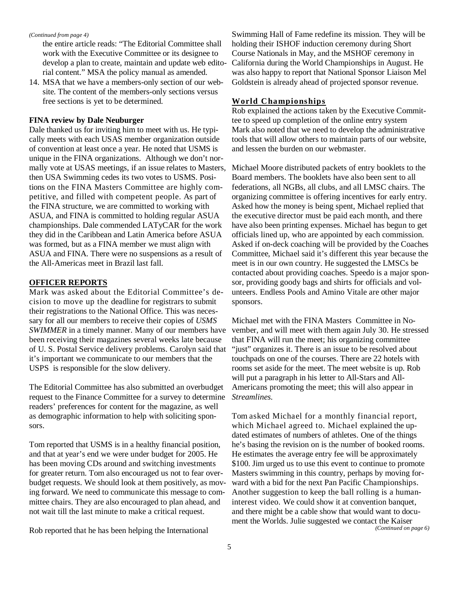#### *(Continued from page 4)*

the entire article reads: "The Editorial Committee shall work with the Executive Committee or its designee to develop a plan to create, maintain and update web editorial content." MSA the policy manual as amended.

14. MSA that we have a members-only section of our website. The content of the members-only sections versus free sections is yet to be determined.

#### **FINA review by Dale Neuburger**

Dale thanked us for inviting him to meet with us. He typically meets with each USAS member organization outside of convention at least once a year. He noted that USMS is unique in the FINA organizations. Although we don't normally vote at USAS meetings, if an issue relates to Masters, then USA Swimming cedes its two votes to USMS. Positions on the FINA Masters Committee are highly competitive, and filled with competent people. As part of the FINA structure, we are committed to working with ASUA, and FINA is committed to holding regular ASUA championships. Dale commended LATyCAR for the work they did in the Caribbean and Latin America before ASUA was formed, but as a FINA member we must align with ASUA and FINA. There were no suspensions as a result of the All-Americas meet in Brazil last fall.

#### **OFFICER REPORTS**

Mark was asked about the Editorial Committee's decision to move up the deadline for registrars to submit their registrations to the National Office. This was necessary for all our members to receive their copies of *USMS SWIMMER* in a timely manner. Many of our members have been receiving their magazines several weeks late because of U. S. Postal Service delivery problems. Carolyn said that it's important we communicate to our members that the USPS is responsible for the slow delivery.

The Editorial Committee has also submitted an overbudget request to the Finance Committee for a survey to determine readers' preferences for content for the magazine, as well as demographic information to help with soliciting sponsors.

Tom reported that USMS is in a healthy financial position, and that at year's end we were under budget for 2005. He has been moving CDs around and switching investments for greater return. Tom also encouraged us not to fear overbudget requests. We should look at them positively, as moving forward. We need to communicate this message to committee chairs. They are also encouraged to plan ahead, and not wait till the last minute to make a critical request.

Rob reported that he has been helping the International

Swimming Hall of Fame redefine its mission. They will be holding their ISHOF induction ceremony during Short Course Nationals in May, and the MSHOF ceremony in California during the World Championships in August. He was also happy to report that National Sponsor Liaison Mel Goldstein is already ahead of projected sponsor revenue.

#### **World Championships**

Rob explained the actions taken by the Executive Committee to speed up completion of the online entry system Mark also noted that we need to develop the administrative tools that will allow others to maintain parts of our website, and lessen the burden on our webmaster.

Michael Moore distributed packets of entry booklets to the Board members. The booklets have also been sent to all federations, all NGBs, all clubs, and all LMSC chairs. The organizing committee is offering incentives for early entry. Asked how the money is being spent, Michael replied that the executive director must be paid each month, and there have also been printing expenses. Michael has begun to get officials lined up, who are appointed by each commission. Asked if on-deck coaching will be provided by the Coaches Committee, Michael said it's different this year because the meet is in our own country. He suggested the LMSCs be contacted about providing coaches. Speedo is a major sponsor, providing goody bags and shirts for officials and volunteers. Endless Pools and Amino Vitale are other major sponsors.

Michael met with the FINA Masters Committee in November, and will meet with them again July 30. He stressed that FINA will run the meet; his organizing committee "just" organizes it. There is an issue to be resolved about touchpads on one of the courses. There are 22 hotels with rooms set aside for the meet. The meet website is up. Rob will put a paragraph in his letter to All-Stars and All-Americans promoting the meet; this will also appear in *Streamlines.* 

Tom asked Michael for a monthly financial report, which Michael agreed to. Michael explained the updated estimates of numbers of athletes. One of the things he's basing the revision on is the number of booked rooms. He estimates the average entry fee will be approximately \$100. Jim urged us to use this event to continue to promote Masters swimming in this country, perhaps by moving forward with a bid for the next Pan Pacific Championships. Another suggestion to keep the ball rolling is a humaninterest video. We could show it at convention banquet, and there might be a cable show that would want to document the Worlds. Julie suggested we contact the Kaiser *(Continued on page 6)*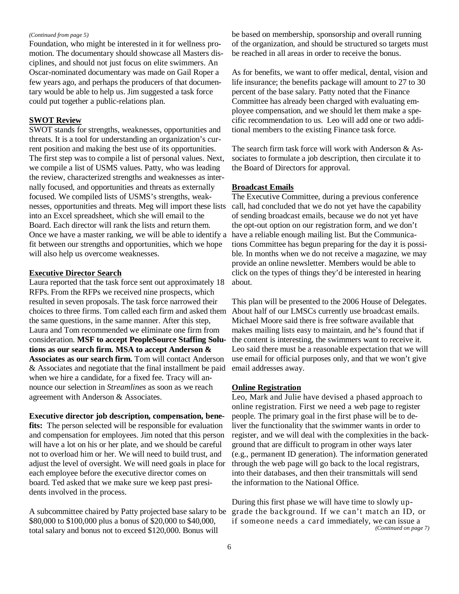#### *(Continued from page 5)*

Foundation, who might be interested in it for wellness promotion. The documentary should showcase all Masters disciplines, and should not just focus on elite swimmers. An Oscar-nominated documentary was made on Gail Roper a few years ago, and perhaps the producers of that documentary would be able to help us. Jim suggested a task force could put together a public-relations plan.

#### **SWOT Review**

SWOT stands for strengths, weaknesses, opportunities and threats. It is a tool for understanding an organization's current position and making the best use of its opportunities. The first step was to compile a list of personal values. Next, we compile a list of USMS values. Patty, who was leading the review, characterized strengths and weaknesses as internally focused, and opportunities and threats as externally focused. We compiled lists of USMS's strengths, weaknesses, opportunities and threats. Meg will import these lists into an Excel spreadsheet, which she will email to the Board. Each director will rank the lists and return them. Once we have a master ranking, we will be able to identify a fit between our strengths and opportunities, which we hope will also help us overcome weaknesses.

#### **Executive Director Search**

Laura reported that the task force sent out approximately 18 RFPs. From the RFPs we received nine prospects, which resulted in seven proposals. The task force narrowed their choices to three firms. Tom called each firm and asked them About half of our LMSCs currently use broadcast emails. the same questions, in the same manner. After this step, Laura and Tom recommended we eliminate one firm from consideration. **MSF to accept PeopleSource Staffing Solutions as our search firm. MSA to accept Anderson & Associates as our search firm.** Tom will contact Anderson & Associates and negotiate that the final installment be paid when we hire a candidate, for a fixed fee. Tracy will announce our selection in *Streamlines* as soon as we reach agreement with Anderson & Associates.

**Executive director job description, compensation, benefits:** The person selected will be responsible for evaluation and compensation for employees. Jim noted that this person will have a lot on his or her plate, and we should be careful not to overload him or her. We will need to build trust, and adjust the level of oversight. We will need goals in place for each employee before the executive director comes on board. Ted asked that we make sure we keep past presidents involved in the process.

A subcommittee chaired by Patty projected base salary to be \$80,000 to \$100,000 plus a bonus of \$20,000 to \$40,000, total salary and bonus not to exceed \$120,000. Bonus will

be based on membership, sponsorship and overall running of the organization, and should be structured so targets must be reached in all areas in order to receive the bonus.

As for benefits, we want to offer medical, dental, vision and life insurance; the benefits package will amount to 27 to 30 percent of the base salary. Patty noted that the Finance Committee has already been charged with evaluating employee compensation, and we should let them make a specific recommendation to us. Leo will add one or two additional members to the existing Finance task force.

The search firm task force will work with Anderson & Associates to formulate a job description, then circulate it to the Board of Directors for approval.

#### **Broadcast Emails**

The Executive Committee, during a previous conference call, had concluded that we do not yet have the capability of sending broadcast emails, because we do not yet have the opt-out option on our registration form, and we don't have a reliable enough mailing list. But the Communications Committee has begun preparing for the day it is possible. In months when we do not receive a magazine, we may provide an online newsletter. Members would be able to click on the types of things they'd be interested in hearing about.

This plan will be presented to the 2006 House of Delegates. Michael Moore said there is free software available that makes mailing lists easy to maintain, and he's found that if the content is interesting, the swimmers want to receive it. Leo said there must be a reasonable expectation that we will use email for official purposes only, and that we won't give email addresses away.

#### **Online Registration**

Leo, Mark and Julie have devised a phased approach to online registration. First we need a web page to register people. The primary goal in the first phase will be to deliver the functionality that the swimmer wants in order to register, and we will deal with the complexities in the background that are difficult to program in other ways later (e.g., permanent ID generation). The information generated through the web page will go back to the local registrars, into their databases, and then their transmittals will send the information to the National Office.

During this first phase we will have time to slowly upgrade the background. If we can't match an ID, or if someone needs a card immediately, we can issue a *(Continued on page 7)*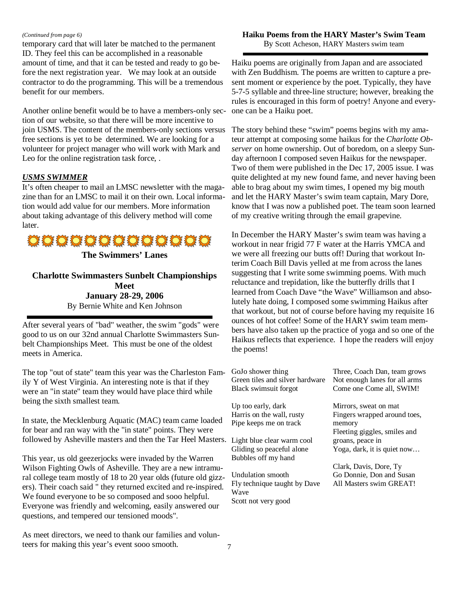#### *(Continued from page 6)*

temporary card that will later be matched to the permanent ID. They feel this can be accomplished in a reasonable amount of time, and that it can be tested and ready to go before the next registration year. We may look at an outside contractor to do the programming. This will be a tremendous benefit for our members.

Another online benefit would be to have a members-only section of our website, so that there will be more incentive to join USMS. The content of the members-only sections versus free sections is yet to be determined. We are looking for a volunteer for project manager who will work with Mark and Leo for the online registration task force, .

#### *USMS SWIMMER*

It's often cheaper to mail an LMSC newsletter with the magazine than for an LMSC to mail it on their own. Local information would add value for our members. More information about taking advantage of this delivery method will come later.



#### **Charlotte Swimmasters Sunbelt Championships Meet January 28-29, 2006**  By Bernie White and Ken Johnson

After several years of "bad" weather, the swim "gods" were good to us on our 32nd annual Charlotte Swimmasters Sunbelt Championships Meet. This must be one of the oldest meets in America.

The top "out of state" team this year was the Charleston Family Y of West Virginia. An interesting note is that if they were an "in state" team they would have place third while being the sixth smallest team.

In state, the Mecklenburg Aquatic (MAC) team came loaded for bear and ran way with the "in state" points. They were followed by Asheville masters and then the Tar Heel Masters. Li

This year, us old geezerjocks were invaded by the Warren Wilson Fighting Owls of Asheville. They are a new intramural college team mostly of 18 to 20 year olds (future old gizzers). Their coach said " they returned excited and re-inspired. We found everyone to be so composed and sooo helpful. Everyone was friendly and welcoming, easily answered our questions, and tempered our tensioned moods".

As meet directors, we need to thank our families and volunteers for making this year's event sooo smooth.

#### **Haiku Poems from the HARY Master's Swim Team**

By Scott Acheson, HARY Masters swim team

Haiku poems are originally from Japan and are associated with Zen Buddhism. The poems are written to capture a present moment or experience by the poet. Typically, they have 5-7-5 syllable and three-line structure; however, breaking the rules is encouraged in this form of poetry! Anyone and everyone can be a Haiku poet.

The story behind these "swim" poems begins with my amateur attempt at composing some haikus for the *Charlotte Observer* on home ownership. Out of boredom, on a sleepy Sunday afternoon I composed seven Haikus for the newspaper. Two of them were published in the Dec 17, 2005 issue. I was quite delighted at my new found fame, and never having been able to brag about my swim times, I opened my big mouth and let the HARY Master's swim team captain, Mary Dore, know that I was now a published poet. The team soon learned of my creative writing through the email grapevine.

In December the HARY Master's swim team was having a workout in near frigid 77 F water at the Harris YMCA and we were all freezing our butts off! During that workout Interim Coach Bill Davis yelled at me from across the lanes suggesting that I write some swimming poems. With much reluctance and trepidation, like the butterfly drills that I learned from Coach Dave "the Wave" Williamson and absolutely hate doing, I composed some swimming Haikus after that workout, but not of course before having my requisite 16 ounces of hot coffee! Some of the HARY swim team members have also taken up the practice of yoga and so one of the Haikus reflects that experience. I hope the readers will enjoy the poems!

| GoJo shower thing<br>Green tiles and silver hardware | Three, Coach Dan, team grows<br>Not enough lanes for all arms |
|------------------------------------------------------|---------------------------------------------------------------|
| Black swimsuit forgot                                | Come one Come all, SWIM!                                      |
| Up too early, dark                                   | Mirrors, sweat on mat                                         |
| Harris on the wall, rusty                            | Fingers wrapped around toes,                                  |
| Pipe keeps me on track                               | memory                                                        |
|                                                      | Fleeting giggles, smiles and                                  |
| Light blue clear warm cool                           | groans, peace in                                              |
| Gliding so peaceful alone                            | Yoga, dark, it is quiet now                                   |
| Bubbles off my hand                                  |                                                               |
|                                                      | Clark, Davis, Dore, Ty                                        |
| Undulation smooth                                    | Go Donnie, Don and Susan                                      |
| Fly technique taught by Dave                         | All Masters swim GREAT!                                       |
| Wave                                                 |                                                               |

Scott not very good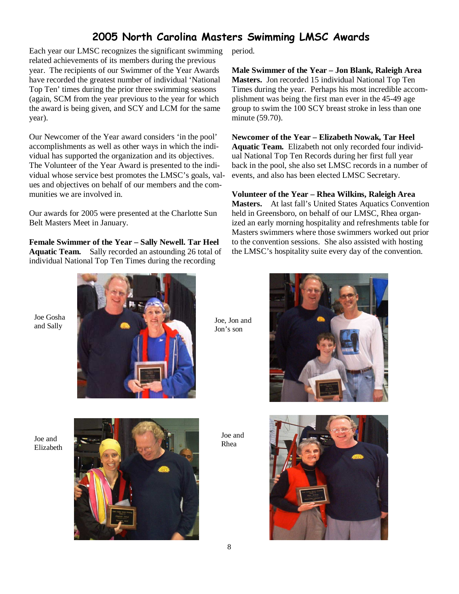### 2005 North Carolina Masters Swimming LMSC Awards

Each year our LMSC recognizes the significant swimming related achievements of its members during the previous year. The recipients of our Swimmer of the Year Awards have recorded the greatest number of individual 'National Top Ten' times during the prior three swimming seasons (again, SCM from the year previous to the year for which the award is being given, and SCY and LCM for the same year).

Our Newcomer of the Year award considers 'in the pool' accomplishments as well as other ways in which the individual has supported the organization and its objectives. The Volunteer of the Year Award is presented to the individual whose service best promotes the LMSC's goals, values and objectives on behalf of our members and the communities we are involved in.

Our awards for 2005 were presented at the Charlotte Sun Belt Masters Meet in January.

**Female Swimmer of the Year – Sally Newell. Tar Heel Aquatic Team.** Sally recorded an astounding 26 total of individual National Top Ten Times during the recording

period.

**Male Swimmer of the Year – Jon Blank, Raleigh Area Masters.** Jon recorded 15 individual National Top Ten Times during the year. Perhaps his most incredible accomplishment was being the first man ever in the 45-49 age group to swim the 100 SCY breast stroke in less than one minute (59.70).

**Newcomer of the Year – Elizabeth Nowak, Tar Heel Aquatic Team.** Elizabeth not only recorded four individual National Top Ten Records during her first full year back in the pool, she also set LMSC records in a number of events, and also has been elected LMSC Secretary.

**Volunteer of the Year – Rhea Wilkins, Raleigh Area Masters.** At last fall's United States Aquatics Convention held in Greensboro, on behalf of our LMSC, Rhea organized an early morning hospitality and refreshments table for Masters swimmers where those swimmers worked out prior to the convention sessions. She also assisted with hosting the LMSC's hospitality suite every day of the convention.

Joe Gosha and Sally



Joe, Jon and Jon's son

Joe and Elizabeth



Joe and Rhea



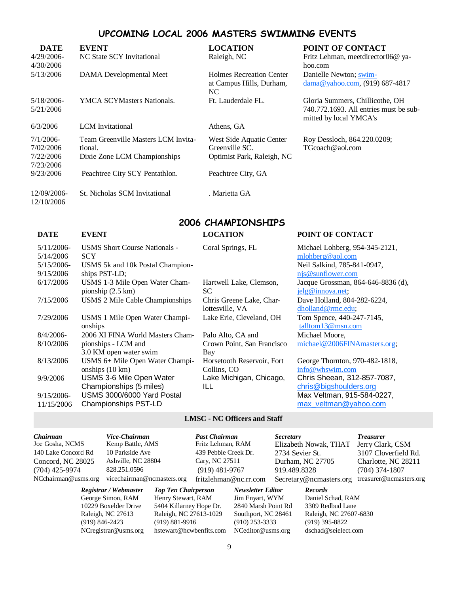### UPCOMING LOCAL 2006 MASTERS SWIMMING EVENTS

| <b>DATE</b><br>4/29/2006-<br>4/30/2006              | <b>EVENT</b><br>NC State SCY Invitational                                      | <b>LOCATION</b><br>Raleigh, NC                                           | POINT OF CONTACT<br>Fritz Lehman, meetdirector06@ ya-<br>hoo.com                                    |
|-----------------------------------------------------|--------------------------------------------------------------------------------|--------------------------------------------------------------------------|-----------------------------------------------------------------------------------------------------|
| 5/13/2006                                           | DAMA Developmental Meet                                                        | Holmes Recreation Center<br>at Campus Hills, Durham,<br>NC.              | Danielle Newton; swim-<br>$dama@yahoo.com$ , (919) 687-4817                                         |
| 5/18/2006-<br>5/21/2006                             | <b>YMCA SCYMasters Nationals.</b>                                              | Ft. Lauderdale FL.                                                       | Gloria Summers, Chillicothe, OH<br>740.772.1693. All entries must be sub-<br>mitted by local YMCA's |
| 6/3/2006                                            | <b>LCM</b> Invitational                                                        | Athens, GA                                                               |                                                                                                     |
| $7/1/2006$ -<br>7/02/2006<br>7/22/2006<br>7/23/2006 | Team Greenville Masters LCM Invita-<br>tional.<br>Dixie Zone LCM Championships | West Side Aquatic Center<br>Greenville SC.<br>Optimist Park, Raleigh, NC | Roy Dessloch, 864.220.0209;<br>TGcoach@aol.com                                                      |
| 9/23/2006                                           | Peachtree City SCY Pentathlon.                                                 | Peachtree City, GA                                                       |                                                                                                     |
| 12/09/2006-<br>12/10/2006                           | St. Nicholas SCM Invitational                                                  | . Marietta GA                                                            |                                                                                                     |

#### 2006 CHAMPIONSHIPS

| <b>DATE</b>   | <b>EVENT</b>                         | <b>LOCATION</b>            | POINT OF CONTACT                   |
|---------------|--------------------------------------|----------------------------|------------------------------------|
| $5/11/2006$ - | <b>USMS Short Course Nationals -</b> | Coral Springs, FL          | Michael Lohberg, 954-345-2121,     |
| 5/14/2006     | <b>SCY</b>                           |                            | mlohberg@aol.com                   |
| $5/15/2006$ - | USMS 5k and 10k Postal Champion-     |                            | Neil Salkind, 785-841-0947,        |
| 9/15/2006     | ships PST-LD;                        |                            | njs@sunflower.com                  |
| 6/17/2006     | USMS 1-3 Mile Open Water Cham-       | Hartwell Lake, Clemson,    | Jacque Grossman, 864-646-8836 (d), |
|               | pionship $(2.5 \text{ km})$          | SC.                        | jelg@innova.net;                   |
| 7/15/2006     | USMS 2 Mile Cable Championships      | Chris Greene Lake, Char-   | Dave Holland, 804-282-6224,        |
|               |                                      | lottesville, VA            | dholland@rmc.edu;                  |
| 7/29/2006     | USMS 1 Mile Open Water Champi-       | Lake Erie, Cleveland, OH   | Tom Spence, 440-247-7145,          |
|               | onships                              |                            | talltom13@msn.com                  |
| $8/4/2006$ -  | 2006 XI FINA World Masters Cham-     | Palo Alto, CA and          | Michael Moore,                     |
| 8/10/2006     | pionships - LCM and                  | Crown Point, San Francisco | michael@2006FINAmasters.org;       |
|               | 3.0 KM open water swim               | Bay                        |                                    |
| 8/13/2006     | USMS 6+ Mile Open Water Champi-      | Horsetooth Reservoir, Fort | George Thornton, 970-482-1818,     |
|               | onships $(10 \text{ km})$            | Collins, CO                | info@whswim.com                    |
| 9/9/2006      | USMS 3-6 Mile Open Water             | Lake Michigan, Chicago,    | Chris Sheean, 312-857-7087,        |
|               | Championships (5 miles)              | ILL                        | chris@bigshoulders.org             |
| $9/15/2006$ - | USMS 3000/6000 Yard Postal           |                            | Max Veltman, 915-584-0227,         |
| 11/15/2006    | Championships PST-LD                 |                            | max veltman@yahoo.com              |

#### **LMSC - NC Officers and Staff**

| <i>Chairman</i>     | Vice-Chairman                            | <b>Past Chairman</b>  | <i>Secretary</i>        | <b>Treasurer</b> |
|---------------------|------------------------------------------|-----------------------|-------------------------|------------------|
| Joe Gosha, NCMS     | Kemp Battle, AMS                         | Fritz Lehman, RAM     | Elizabeth Nowak, THAT   | Jerry Clar       |
| 140 Lake Concord Rd | 10 Parkside Ave                          | 439 Pebble Creek Dr.  | 2734 Sevier St.         | 3107 Cloy        |
| Concord, NC 28025   | Ashville, NC 28804                       | Cary, NC 27511        | Durham, NC 27705        | Charlotte.       |
| $(704)$ 425-9974    | 828.251.0596                             | $(919)$ 481-9767      | 919.489.8328            | $(704)$ 374      |
| NCchairman@usms.org | vicechairman@ncmasters.org               | fritzlehman@nc.rr.com | Secretary@ncmasters.org | treasurer@       |
|                     | n : /1171 : 711 711 . 111 . 111. 111. 11 |                       |                         |                  |

NCregistrar@usms.org hstewart@hcwbenfits.com NCeditor@usms.org dschad@seielect.com

*Registrar / Webmaster Top Ten Chairperson Newsletter Editor Records*  George Simon, RAM Henry Stewart, RAM Jim Enyart, WYM Daniel Schad, RAM 10229 Boxelder Drive 5404 Killarney Hope Dr. 2840 Marsh Point Rd 3309 Redbud Lane 10229 Boxelder Drive 5404 Killarney Hope Dr. 2840 Marsh Point Rd 3309 Redbud Lane (919) 846-2423 (919) 881-9916 (910) 253-3333 (919) 395-8822

man, RAM Elizabeth Nowak, THAT Jerry Clark, CSM 1e Creek Dr. 2734 Sevier St. 3107 Cloverfield Rd. 27511 Durham, NC 27705 Charlotte, NC 28211 81-9767 919.489.8328 (704) 374-1807

nan@nc.rr.com Secretary@ncmasters.org treasurer@ncmasters.org

Southport, NC 28461 Raleigh, NC 27607-6830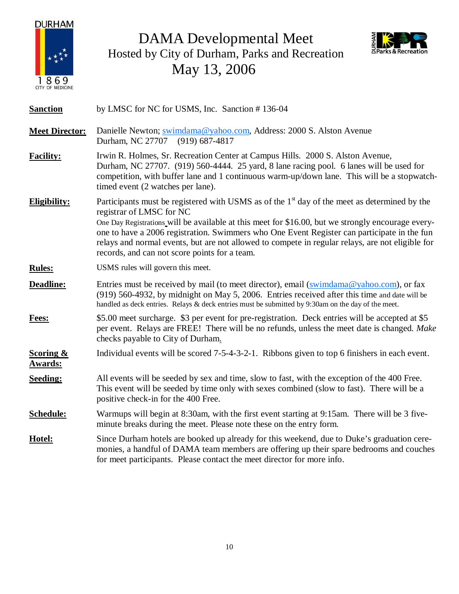

DAMA Developmental Meet Hosted by City of Durham, Parks and Recreation May 13, 2006



| <b>Sanction</b>                        | by LMSC for NC for USMS, Inc. Sanction #136-04                                                                                                                                                                                                                                                                                                                                                                                                                                       |
|----------------------------------------|--------------------------------------------------------------------------------------------------------------------------------------------------------------------------------------------------------------------------------------------------------------------------------------------------------------------------------------------------------------------------------------------------------------------------------------------------------------------------------------|
| <b>Meet Director:</b>                  | Danielle Newton; swimdama@yahoo.com, Address: 2000 S. Alston Avenue<br>Durham, NC 27707<br>$(919)$ 687-4817                                                                                                                                                                                                                                                                                                                                                                          |
| <b>Facility:</b>                       | Irwin R. Holmes, Sr. Recreation Center at Campus Hills. 2000 S. Alston Avenue,<br>Durham, NC 27707. (919) 560-4444. 25 yard, 8 lane racing pool. 6 lanes will be used for<br>competition, with buffer lane and 1 continuous warm-up/down lane. This will be a stopwatch-<br>timed event (2 watches per lane).                                                                                                                                                                        |
| Eligibility:                           | Participants must be registered with USMS as of the $1st$ day of the meet as determined by the<br>registrar of LMSC for NC<br>One Day Registrations will be available at this meet for \$16.00, but we strongly encourage every-<br>one to have a 2006 registration. Swimmers who One Event Register can participate in the fun<br>relays and normal events, but are not allowed to compete in regular relays, are not eligible for<br>records, and can not score points for a team. |
| <b>Rules:</b>                          | USMS rules will govern this meet.                                                                                                                                                                                                                                                                                                                                                                                                                                                    |
| Deadline:                              | Entries must be received by mail (to meet director), email $(\underline{\text{swindama}\,\omega\,\text{yahoo.com}})$ , or fax<br>(919) 560-4932, by midnight on May 5, 2006. Entries received after this time and date will be<br>handled as deck entries. Relays & deck entries must be submitted by 9:30am on the day of the meet.                                                                                                                                                 |
| Fees:                                  | \$5.00 meet surcharge. \$3 per event for pre-registration. Deck entries will be accepted at \$5<br>per event. Relays are FREE! There will be no refunds, unless the meet date is changed. Make<br>checks payable to City of Durham.                                                                                                                                                                                                                                                  |
| <b>Scoring &amp;</b><br><b>Awards:</b> | Individual events will be scored 7-5-4-3-2-1. Ribbons given to top 6 finishers in each event.                                                                                                                                                                                                                                                                                                                                                                                        |
| <b>Seeding:</b>                        | All events will be seeded by sex and time, slow to fast, with the exception of the 400 Free.<br>This event will be seeded by time only with sexes combined (slow to fast). There will be a<br>positive check-in for the 400 Free.                                                                                                                                                                                                                                                    |
| Schedule:                              | Warmups will begin at 8:30am, with the first event starting at 9:15am. There will be 3 five-<br>minute breaks during the meet. Please note these on the entry form.                                                                                                                                                                                                                                                                                                                  |
| Hotel:                                 | Since Durham hotels are booked up already for this weekend, due to Duke's graduation cere-<br>monies, a handful of DAMA team members are offering up their spare bedrooms and couches<br>for meet participants. Please contact the meet director for more info.                                                                                                                                                                                                                      |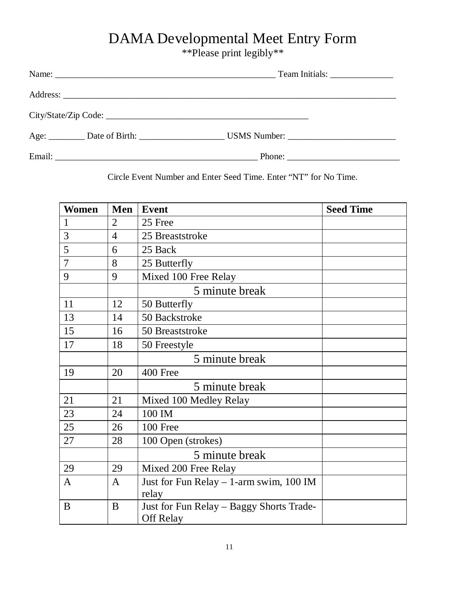## DAMA Developmental Meet Entry Form

\*\*Please print legibly\*\*

|  | Phone: $\frac{1}{\sqrt{1-\frac{1}{2}} \cdot \frac{1}{2}}$ |  |
|--|-----------------------------------------------------------|--|

Circle Event Number and Enter Seed Time. Enter "NT" for No Time.

| <b>Women</b>   | Men            | <b>Event</b>                              | <b>Seed Time</b> |
|----------------|----------------|-------------------------------------------|------------------|
| $\mathbf{1}$   | $\overline{2}$ | 25 Free                                   |                  |
| 3              | $\overline{4}$ | 25 Breaststroke                           |                  |
| 5              | 6              | 25 Back                                   |                  |
| $\overline{7}$ | 8              | 25 Butterfly                              |                  |
| 9              | 9              | Mixed 100 Free Relay                      |                  |
|                |                | 5 minute break                            |                  |
| 11             | 12             | 50 Butterfly                              |                  |
| 13             | 14             | 50 Backstroke                             |                  |
| 15             | 16             | 50 Breaststroke                           |                  |
| 17             | 18             | 50 Freestyle                              |                  |
|                |                | 5 minute break                            |                  |
| 19             | 20             | 400 Free                                  |                  |
|                |                | 5 minute break                            |                  |
| 21             | 21             | Mixed 100 Medley Relay                    |                  |
| 23             | 24             | 100 IM                                    |                  |
| 25             | 26             | 100 Free                                  |                  |
| 27             | 28             | 100 Open (strokes)                        |                  |
|                |                | 5 minute break                            |                  |
| 29             | 29             | Mixed 200 Free Relay                      |                  |
| A              | A              | Just for Fun Relay $-1$ -arm swim, 100 IM |                  |
|                |                | relay                                     |                  |
| B              | B              | Just for Fun Relay - Baggy Shorts Trade-  |                  |
|                |                | <b>Off Relay</b>                          |                  |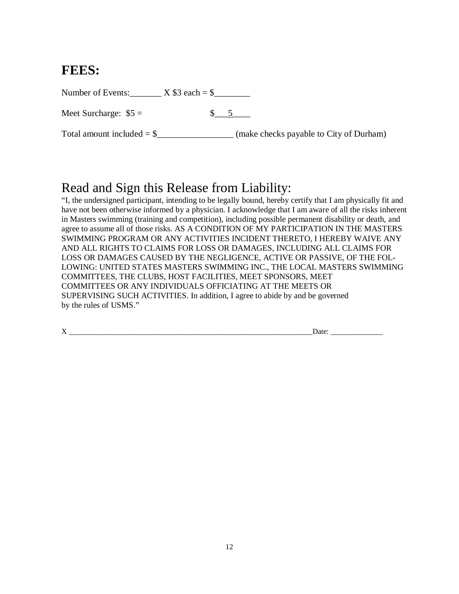### **FEES:**

Number of Events:  $X$  \$3 each = \$

Meet Surcharge:  $$5 =$   $$\_5$ 

Total amount included = \$\_\_\_\_\_\_\_\_\_\_\_\_\_\_\_\_\_ (make checks payable to City of Durham)

### Read and Sign this Release from Liability:

"I, the undersigned participant, intending to be legally bound, hereby certify that I am physically fit and have not been otherwise informed by a physician. I acknowledge that I am aware of all the risks inherent in Masters swimming (training and competition), including possible permanent disability or death, and agree to assume all of those risks. AS A CONDITION OF MY PARTICIPATION IN THE MASTERS SWIMMING PROGRAM OR ANY ACTIVITIES INCIDENT THERETO, I HEREBY WAIVE ANY AND ALL RIGHTS TO CLAIMS FOR LOSS OR DAMAGES, INCLUDING ALL CLAIMS FOR LOSS OR DAMAGES CAUSED BY THE NEGLIGENCE, ACTIVE OR PASSIVE, OF THE FOL-LOWING: UNITED STATES MASTERS SWIMMING INC., THE LOCAL MASTERS SWIMMING COMMITTEES, THE CLUBS, HOST FACILITIES, MEET SPONSORS, MEET COMMITTEES OR ANY INDIVIDUALS OFFICIATING AT THE MEETS OR SUPERVISING SUCH ACTIVITIES. In addition, I agree to abide by and be governed by the rules of USMS."

| --<br>. . | --<br>$\ddotsc$ |
|-----------|-----------------|
|           | ______          |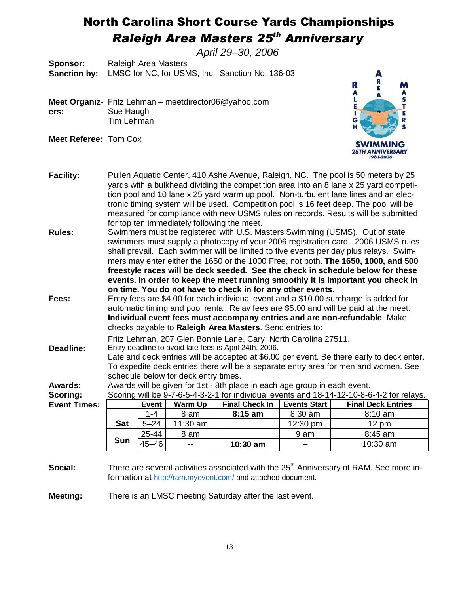### North Carolina Short Course Yards Championships **Raleigh Area Masters 25<sup>th</sup> Anniversary**

April 29–30, 2006

**Sponsor:** Raleigh Area Masters **Sanction by:** LMSC for NC, for USMS, Inc. Sanction No. 136-03

- **Meet Organiz-**Fritz Lehman meetdirector06@yahoo.com **ers:** Sue Haugh Tim Lehman
- **Meet Referee:** Tom Cox



- **Facility:** Pullen Aquatic Center, 410 Ashe Avenue, Raleigh, NC. The pool is 50 meters by 25 yards with a bulkhead dividing the competition area into an 8 lane x 25 yard competition pool and 10 lane x 25 yard warm up pool. Non-turbulent lane lines and an electronic timing system will be used. Competition pool is 16 feet deep. The pool will be measured for compliance with new USMS rules on records. Results will be submitted for top ten immediately following the meet.
- **Rules:** Swimmers must be registered with U.S. Masters Swimming (USMS). Out of state swimmers must supply a photocopy of your 2006 registration card. 2006 USMS rules shall prevail. Each swimmer will be limited to five events per day plus relays. Swimmers may enter either the 1650 or the 1000 Free, not both. **The 1650, 1000, and 500 freestyle races will be deck seeded. See the check in schedule below for these events. In order to keep the meet running smoothly it is important you check in on time. You do not have to check in for any other events.**
- **Fees:** Entry fees are \$4.00 for each individual event and a \$10.00 surcharge is added for automatic timing and pool rental. Relay fees are \$5.00 and will be paid at the meet. **Individual event fees must accompany entries and are non-refundable**. Make checks payable to **Raleigh Area Masters**. Send entries to:

Fritz Lehman, 207 Glen Bonnie Lane, Cary, North Carolina 27511.

**Deadline:** Entry deadline to avoid late fees is April 24th, 2006. Late and deck entries will be accepted at \$6.00 per event. Be there early to deck enter. To expedite deck entries there will be a separate entry area for men and women. See schedule below for deck entry times.

**Awards:** Awards will be given for 1st - 8th place in each age group in each event.

| <b>Scoring:</b>     | Scoring will be 9-7-6-5-4-3-2-1 for individual events and 18-14-12-10-8-6-4-2 for relays. |          |          |                       |              |                           |  |  |  |
|---------------------|-------------------------------------------------------------------------------------------|----------|----------|-----------------------|--------------|---------------------------|--|--|--|
| <b>Event Times:</b> |                                                                                           | Event    | Warm Up  | <b>Final Check In</b> | Events Start | <b>Final Deck Entries</b> |  |  |  |
|                     |                                                                                           | $1 - 4$  | 8 am     | $8:15 \text{ am}$     | $8:30$ am    | $8:10$ am                 |  |  |  |
|                     | <b>Sat</b>                                                                                | $5 - 24$ | 11:30 am |                       | 12:30 pm     | $12 \text{ pm}$           |  |  |  |
|                     | $\rightarrow$                                                                             | 25-44    | 8 am     |                       | 9 am         | $8:45$ am                 |  |  |  |

45–46 -- **10:30 am** -- 10:30 am

**Social:** There are several activities associated with the 25<sup>th</sup> Anniversary of RAM. See more information at http://ram.myevent.com/ and attached document.

**Meeting:** There is an LMSC meeting Saturday after the last event.

**Sun**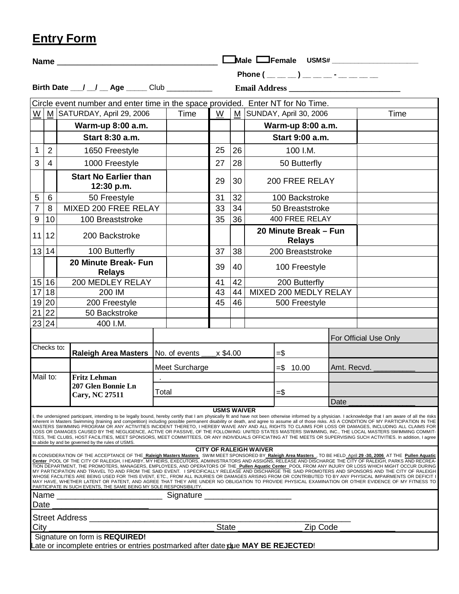|--|

| Male Female USMS#<br>Name                                                                                                                                                                                                                                                                                                                                                                                                                                                                                                                                                                                                                                                                                                                                                                                                                                                                                                                                                                                                                    |  |                |                    |    |                               |                                         |             |                       |  |
|----------------------------------------------------------------------------------------------------------------------------------------------------------------------------------------------------------------------------------------------------------------------------------------------------------------------------------------------------------------------------------------------------------------------------------------------------------------------------------------------------------------------------------------------------------------------------------------------------------------------------------------------------------------------------------------------------------------------------------------------------------------------------------------------------------------------------------------------------------------------------------------------------------------------------------------------------------------------------------------------------------------------------------------------|--|----------------|--------------------|----|-------------------------------|-----------------------------------------|-------------|-----------------------|--|
|                                                                                                                                                                                                                                                                                                                                                                                                                                                                                                                                                                                                                                                                                                                                                                                                                                                                                                                                                                                                                                              |  |                |                    |    |                               | Phone $($ _ _ _ _ ) _ _ _ _ - _ _ _ _ _ |             |                       |  |
| Birth Date __/ _/ _ Age _____ Club __________                                                                                                                                                                                                                                                                                                                                                                                                                                                                                                                                                                                                                                                                                                                                                                                                                                                                                                                                                                                                |  |                |                    |    |                               |                                         |             |                       |  |
| Circle event number and enter time in the space provided. Enter NT for No Time.                                                                                                                                                                                                                                                                                                                                                                                                                                                                                                                                                                                                                                                                                                                                                                                                                                                                                                                                                              |  |                |                    |    |                               |                                         |             |                       |  |
| W   M SATURDAY, April 29, 2006                                                                                                                                                                                                                                                                                                                                                                                                                                                                                                                                                                                                                                                                                                                                                                                                                                                                                                                                                                                                               |  | Time           | W                  |    |                               | M SUNDAY, April 30, 2006                |             | Time                  |  |
| Warm-up 8:00 a.m.                                                                                                                                                                                                                                                                                                                                                                                                                                                                                                                                                                                                                                                                                                                                                                                                                                                                                                                                                                                                                            |  |                |                    |    |                               | Warm-up 8:00 a.m.                       |             |                       |  |
| Start 8:30 a.m.                                                                                                                                                                                                                                                                                                                                                                                                                                                                                                                                                                                                                                                                                                                                                                                                                                                                                                                                                                                                                              |  |                |                    |    |                               | Start 9:00 a.m.                         |             |                       |  |
| 2<br>$\mathbf{1}$<br>1650 Freestyle                                                                                                                                                                                                                                                                                                                                                                                                                                                                                                                                                                                                                                                                                                                                                                                                                                                                                                                                                                                                          |  |                | 25                 | 26 |                               | 100 I.M.                                |             |                       |  |
| $\overline{3}$<br>$\overline{4}$<br>1000 Freestyle                                                                                                                                                                                                                                                                                                                                                                                                                                                                                                                                                                                                                                                                                                                                                                                                                                                                                                                                                                                           |  |                | 27                 | 28 |                               | 50 Butterfly                            |             |                       |  |
| <b>Start No Earlier than</b><br>12:30 p.m.                                                                                                                                                                                                                                                                                                                                                                                                                                                                                                                                                                                                                                                                                                                                                                                                                                                                                                                                                                                                   |  |                | 29                 | 30 |                               | 200 FREE RELAY                          |             |                       |  |
| $5\phantom{.0}$<br>6<br>50 Freestyle                                                                                                                                                                                                                                                                                                                                                                                                                                                                                                                                                                                                                                                                                                                                                                                                                                                                                                                                                                                                         |  |                | 31                 | 32 |                               | 100 Backstroke                          |             |                       |  |
| $\overline{7}$<br>8<br>MIXED 200 FREE RELAY                                                                                                                                                                                                                                                                                                                                                                                                                                                                                                                                                                                                                                                                                                                                                                                                                                                                                                                                                                                                  |  |                | 33                 | 34 |                               | 50 Breaststroke                         |             |                       |  |
| 9<br>10<br>100 Breaststroke                                                                                                                                                                                                                                                                                                                                                                                                                                                                                                                                                                                                                                                                                                                                                                                                                                                                                                                                                                                                                  |  |                | 35                 | 36 |                               | 400 FREE RELAY                          |             |                       |  |
| 11 12<br>200 Backstroke                                                                                                                                                                                                                                                                                                                                                                                                                                                                                                                                                                                                                                                                                                                                                                                                                                                                                                                                                                                                                      |  |                |                    |    |                               | 20 Minute Break - Fun<br><b>Relays</b>  |             |                       |  |
| 13 14 <br>100 Butterfly                                                                                                                                                                                                                                                                                                                                                                                                                                                                                                                                                                                                                                                                                                                                                                                                                                                                                                                                                                                                                      |  |                | 37                 | 38 |                               | 200 Breaststroke                        |             |                       |  |
| 20 Minute Break- Fun<br><b>Relays</b>                                                                                                                                                                                                                                                                                                                                                                                                                                                                                                                                                                                                                                                                                                                                                                                                                                                                                                                                                                                                        |  |                | 39                 | 40 |                               | 100 Freestyle                           |             |                       |  |
| 15 16<br>200 MEDLEY RELAY                                                                                                                                                                                                                                                                                                                                                                                                                                                                                                                                                                                                                                                                                                                                                                                                                                                                                                                                                                                                                    |  |                | 41                 | 42 |                               | 200 Butterfly                           |             |                       |  |
| $\boxed{17}$<br>200 IM                                                                                                                                                                                                                                                                                                                                                                                                                                                                                                                                                                                                                                                                                                                                                                                                                                                                                                                                                                                                                       |  |                | 43                 | 44 | MIXED 200 MEDLY RELAY         |                                         |             |                       |  |
| 19 20 <br>200 Freestyle                                                                                                                                                                                                                                                                                                                                                                                                                                                                                                                                                                                                                                                                                                                                                                                                                                                                                                                                                                                                                      |  |                | 45                 | 46 | 500 Freestyle                 |                                         |             |                       |  |
| 21 22<br>50 Backstroke                                                                                                                                                                                                                                                                                                                                                                                                                                                                                                                                                                                                                                                                                                                                                                                                                                                                                                                                                                                                                       |  |                |                    |    |                               |                                         |             |                       |  |
| 23 24<br>400 I.M.                                                                                                                                                                                                                                                                                                                                                                                                                                                                                                                                                                                                                                                                                                                                                                                                                                                                                                                                                                                                                            |  |                |                    |    |                               |                                         |             |                       |  |
|                                                                                                                                                                                                                                                                                                                                                                                                                                                                                                                                                                                                                                                                                                                                                                                                                                                                                                                                                                                                                                              |  |                |                    |    |                               |                                         |             | For Official Use Only |  |
| Checks to:<br><b>Raleigh Area Masters</b>                                                                                                                                                                                                                                                                                                                                                                                                                                                                                                                                                                                                                                                                                                                                                                                                                                                                                                                                                                                                    |  | No. of events  | x \$4.00           |    |                               | $=$ \$                                  |             |                       |  |
|                                                                                                                                                                                                                                                                                                                                                                                                                                                                                                                                                                                                                                                                                                                                                                                                                                                                                                                                                                                                                                              |  | Meet Surcharge |                    |    |                               | $= $ 10.00$                             | Amt. Recvd. |                       |  |
| $\overline{\mathsf{Mail}}$ to:<br><b>Fritz Lehman</b>                                                                                                                                                                                                                                                                                                                                                                                                                                                                                                                                                                                                                                                                                                                                                                                                                                                                                                                                                                                        |  |                |                    |    |                               |                                         |             |                       |  |
| 207 Glen Bonnie Ln<br><b>Cary, NC 27511</b>                                                                                                                                                                                                                                                                                                                                                                                                                                                                                                                                                                                                                                                                                                                                                                                                                                                                                                                                                                                                  |  | Total          |                    |    |                               | $=$ \$                                  |             |                       |  |
|                                                                                                                                                                                                                                                                                                                                                                                                                                                                                                                                                                                                                                                                                                                                                                                                                                                                                                                                                                                                                                              |  |                |                    |    |                               |                                         | Date        |                       |  |
| I, the undersigned participant, intending to be legally bound, hereby certify that I am physically fit and have not been otherwise informed by a physician. I acknowledge that I am aware of all the risks<br>inherent in Masters Swimming (training and competition) including possible permanent disability or death, and agree to assume all of those risks. AS A CONDITION OF MY PARTICIPATION IN THE<br>MASTERS SWIMMING PROGRAM OR ANY ACTIVITIES INCIDENT THERETO, I HEREBY WAIVE ANY AND ALL RIGHTS TO CLAIMS FOR LOSS OR DAMAGES, INCLUDING ALL CLAIMS FOR<br>LOSS OR DAMAGES CAUSED BY THE NEGLIGENCE, ACTIVE OR PASSIVE, OF THE FOLLOWING: UNITED STATES MASTERS SWIMMING, INC., THE LOCAL MASTERS SWIMMING COMMIT-<br>TEES, THE CLUBS, HOST FACILITIES, MEET SPONSORS, MEET COMMITTEES, OR ANY INDIVIDUALS OFFICIATING AT THE MEETS OR SUPERVISING SUCH ACTIVITIES. In addition, I agree<br>to abide by and be governed by the rules of USMS.                                                                                    |  |                | <b>USMS WAIVER</b> |    | <b>CITY OF RALEIGH WAIVER</b> |                                         |             |                       |  |
| IN CONSIDERATION OF THE ACCEPTANCE OF THE Raleigh Masters Masters SWIM MEET SPONSORED BY Raleigh Area Masters, TO BE HELD April 29 -30, 2006 AT THE Pullen Aquatic<br>Center POOL OF THE CITY OF RALEIGH, I HEARBY, MY HEIRS, EXECUTORS, ADMINISTRATORS AND ASSIGNS, RELEASE AND DISCHARGE THE CITY OF RALEIGH, PARKS AND RECREA-<br>TION DEPARTMENT, THE PROMOTERS, MANAGERS, EMPLOYEES, AND OPERATORS OF THE Pullen Aquatic Center POOL FROM ANY INJURY OR LOSS WHICH MIGHT OCCUR DURING<br>MY PARTICIPATION AND TRAVEL TO AND FROM THE SAID EVENT. I SPECIFICALLY RELEASE AND DISCHARGE THE SAID PROMOTERS AND SPONSORS AND THE CITY OF RALEIGH<br>WHOSE FACILITIES ARE BEING USED FOR THIS EVENT, ETC., FROM ALL INJURIES OR DAMAGES ARISING FROM OR CONTRIBUTED TO BY ANY PHYSICAL IMPAIRMENTS OR DEFICIT I<br>MAY HAVE, WHETHER LATENT OR PATENT, AND AGREE THAT THEY ARE UNDER NO OBLIGATION TO PROVIDE PHYSICAL EXAMINATION OR OTHER EVIDENCE OF MY FITNESS TO<br>PARTICIPATE IN SUCH EVENTS, THE SAME BEING MY SOLE RESPONSIBILITY. |  |                |                    |    |                               |                                         |             |                       |  |
| Name<br>Date                                                                                                                                                                                                                                                                                                                                                                                                                                                                                                                                                                                                                                                                                                                                                                                                                                                                                                                                                                                                                                 |  | Signature _    |                    |    |                               |                                         |             |                       |  |
| Street Address                                                                                                                                                                                                                                                                                                                                                                                                                                                                                                                                                                                                                                                                                                                                                                                                                                                                                                                                                                                                                               |  |                |                    |    |                               |                                         |             |                       |  |
| City                                                                                                                                                                                                                                                                                                                                                                                                                                                                                                                                                                                                                                                                                                                                                                                                                                                                                                                                                                                                                                         |  |                | <b>State</b>       |    |                               | Zip Code                                |             |                       |  |
| Signature on form is REQUIRED!                                                                                                                                                                                                                                                                                                                                                                                                                                                                                                                                                                                                                                                                                                                                                                                                                                                                                                                                                                                                               |  |                |                    |    |                               |                                         |             |                       |  |

<u>1</u>04 U Late or incomplete entries or entries postmarked after date due **MAY BE REJECTED**!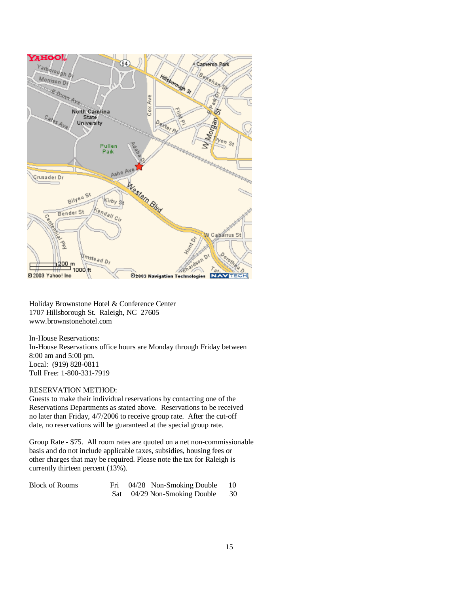

Holiday Brownstone Hotel & Conference Center 1707 Hillsborough St. Raleigh, NC 27605 www.brownstonehotel.com

In-House Reservations: In-House Reservations office hours are Monday through Friday between 8:00 am and 5:00 pm. Local: (919) 828-0811 Toll Free: 1-800-331-7919

#### RESERVATION METHOD:

Guests to make their individual reservations by contacting one of the Reservations Departments as stated above. Reservations to be received no later than Friday, 4/7/2006 to receive group rate. After the cut-off date, no reservations will be guaranteed at the special group rate.

Group Rate - \$75. All room rates are quoted on a net non-commissionable basis and do not include applicable taxes, subsidies, housing fees or other charges that may be required. Please note the tax for Raleigh is currently thirteen percent (13%).

Block of Rooms Fri 04/28 Non-Smoking Double 10 Sat 04/29 Non-Smoking Double 30